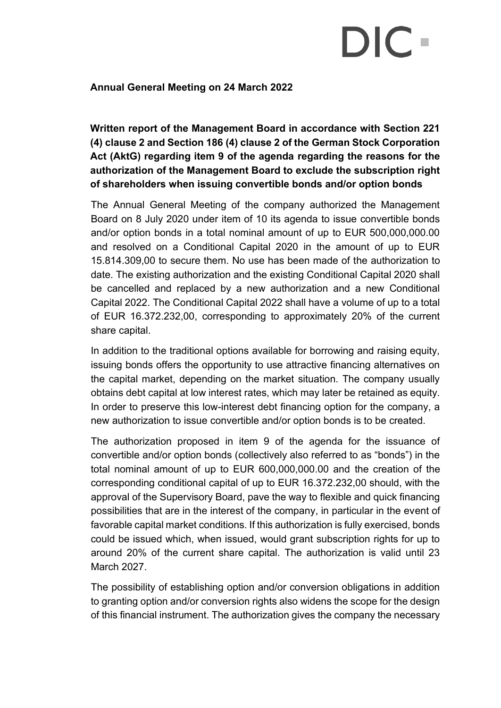## DIC.

## **Annual General Meeting on 24 March 2022**

**Written report of the Management Board in accordance with Section 221 (4) clause 2 and Section 186 (4) clause 2 of the German Stock Corporation Act (AktG) regarding item 9 of the agenda regarding the reasons for the authorization of the Management Board to exclude the subscription right of shareholders when issuing convertible bonds and/or option bonds**

The Annual General Meeting of the company authorized the Management Board on 8 July 2020 under item of 10 its agenda to issue convertible bonds and/or option bonds in a total nominal amount of up to EUR 500,000,000.00 and resolved on a Conditional Capital 2020 in the amount of up to EUR 15.814.309,00 to secure them. No use has been made of the authorization to date. The existing authorization and the existing Conditional Capital 2020 shall be cancelled and replaced by a new authorization and a new Conditional Capital 2022. The Conditional Capital 2022 shall have a volume of up to a total of EUR 16.372.232,00, corresponding to approximately 20% of the current share capital.

In addition to the traditional options available for borrowing and raising equity, issuing bonds offers the opportunity to use attractive financing alternatives on the capital market, depending on the market situation. The company usually obtains debt capital at low interest rates, which may later be retained as equity. In order to preserve this low-interest debt financing option for the company, a new authorization to issue convertible and/or option bonds is to be created.

The authorization proposed in item 9 of the agenda for the issuance of convertible and/or option bonds (collectively also referred to as "bonds") in the total nominal amount of up to EUR 600,000,000.00 and the creation of the corresponding conditional capital of up to EUR 16.372.232,00 should, with the approval of the Supervisory Board, pave the way to flexible and quick financing possibilities that are in the interest of the company, in particular in the event of favorable capital market conditions. If this authorization is fully exercised, bonds could be issued which, when issued, would grant subscription rights for up to around 20% of the current share capital. The authorization is valid until 23 March 2027.

The possibility of establishing option and/or conversion obligations in addition to granting option and/or conversion rights also widens the scope for the design of this financial instrument. The authorization gives the company the necessary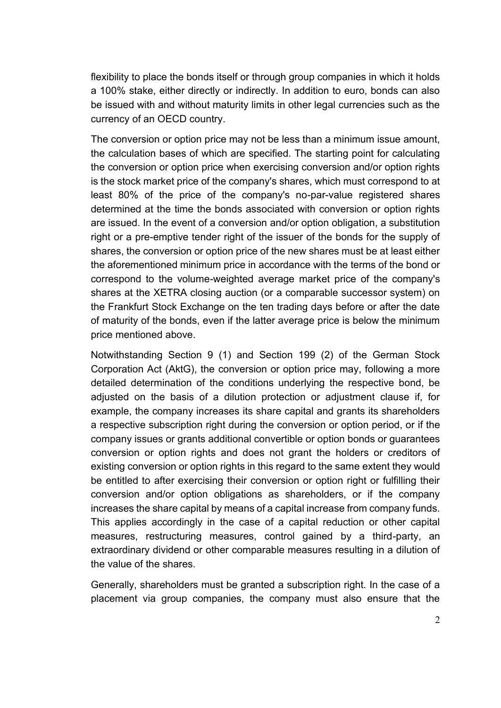flexibility to place the bonds itself or through group companies in which it holds a 100% stake, either directly or indirectly. In addition to euro, bonds can also be issued with and without maturity limits in other legal currencies such as the currency of an OECD country.

The conversion or option price may not be less than a minimum issue amount, the calculation bases of which are specified. The starting point for calculating the conversion or option price when exercising conversion and/or option rights is the stock market price of the company's shares, which must correspond to at least 80% of the price of the company's no-par-value registered shares determined at the time the bonds associated with conversion or option rights are issued. In the event of a conversion and/or option obligation, a substitution right or a pre-emptive tender right of the issuer of the bonds for the supply of shares, the conversion or option price of the new shares must be at least either the aforementioned minimum price in accordance with the terms of the bond or correspond to the volume-weighted average market price of the company's shares at the XETRA closing auction (or a comparable successor system) on the Frankfurt Stock Exchange on the ten trading days before or after the date of maturity of the bonds, even if the latter average price is below the minimum price mentioned above.

Notwithstanding Section 9 (1) and Section 199 (2) of the German Stock Corporation Act (AktG), the conversion or option price may, following a more detailed determination of the conditions underlying the respective bond, be adjusted on the basis of a dilution protection or adjustment clause if, for example, the company increases its share capital and grants its shareholders a respective subscription right during the conversion or option period, or if the company issues or grants additional convertible or option bonds or guarantees conversion or option rights and does not grant the holders or creditors of existing conversion or option rights in this regard to the same extent they would be entitled to after exercising their conversion or option right or fulfilling their conversion and/or option obligations as shareholders, or if the company increases the share capital by means of a capital increase from company funds. This applies accordingly in the case of a capital reduction or other capital measures, restructuring measures, control gained by a third-party, an extraordinary dividend or other comparable measures resulting in a dilution of the value of the shares.

Generally, shareholders must be granted a subscription right. In the case of a placement via group companies, the company must also ensure that the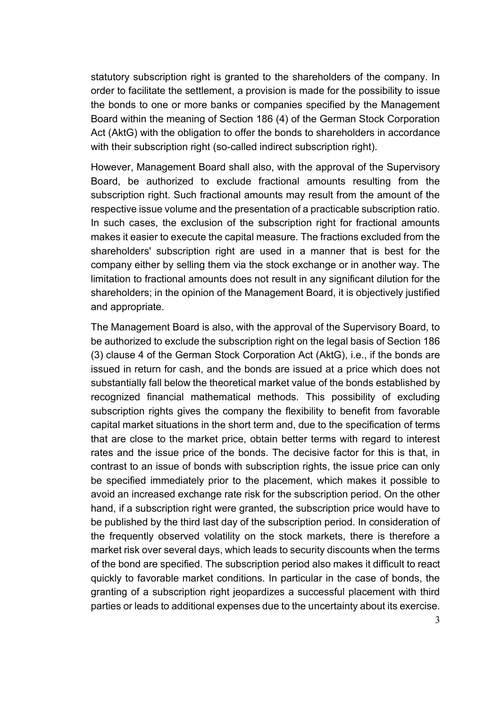statutory subscription right is granted to the shareholders of the company. In order to facilitate the settlement, a provision is made for the possibility to issue the bonds to one or more banks or companies specified by the Management Board within the meaning of Section 186 (4) of the German Stock Corporation Act (AktG) with the obligation to offer the bonds to shareholders in accordance with their subscription right (so-called indirect subscription right).

However, Management Board shall also, with the approval of the Supervisory Board, be authorized to exclude fractional amounts resulting from the subscription right. Such fractional amounts may result from the amount of the respective issue volume and the presentation of a practicable subscription ratio. In such cases, the exclusion of the subscription right for fractional amounts makes it easier to execute the capital measure. The fractions excluded from the shareholders' subscription right are used in a manner that is best for the company either by selling them via the stock exchange or in another way. The limitation to fractional amounts does not result in any significant dilution for the shareholders; in the opinion of the Management Board, it is objectively justified and appropriate.

The Management Board is also, with the approval of the Supervisory Board, to be authorized to exclude the subscription right on the legal basis of Section 186 (3) clause 4 of the German Stock Corporation Act (AktG), i.e., if the bonds are issued in return for cash, and the bonds are issued at a price which does not substantially fall below the theoretical market value of the bonds established by recognized financial mathematical methods. This possibility of excluding subscription rights gives the company the flexibility to benefit from favorable capital market situations in the short term and, due to the specification of terms that are close to the market price, obtain better terms with regard to interest rates and the issue price of the bonds. The decisive factor for this is that, in contrast to an issue of bonds with subscription rights, the issue price can only be specified immediately prior to the placement, which makes it possible to avoid an increased exchange rate risk for the subscription period. On the other hand, if a subscription right were granted, the subscription price would have to be published by the third last day of the subscription period. In consideration of the frequently observed volatility on the stock markets, there is therefore a market risk over several days, which leads to security discounts when the terms of the bond are specified. The subscription period also makes it difficult to react quickly to favorable market conditions. In particular in the case of bonds, the granting of a subscription right jeopardizes a successful placement with third parties or leads to additional expenses due to the uncertainty about its exercise.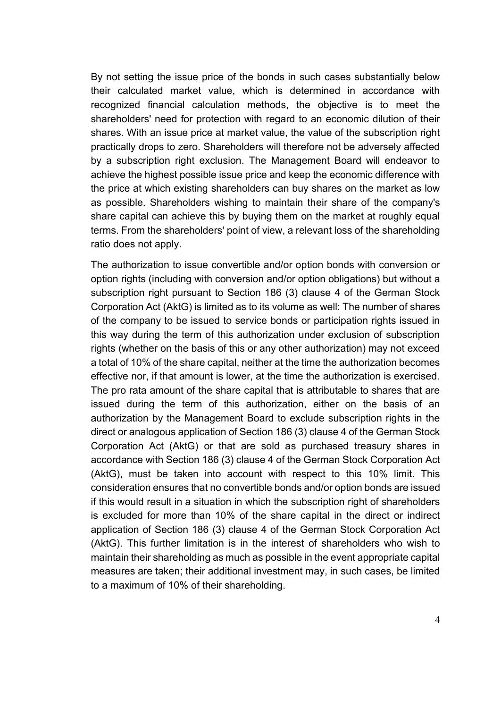By not setting the issue price of the bonds in such cases substantially below their calculated market value, which is determined in accordance with recognized financial calculation methods, the objective is to meet the shareholders' need for protection with regard to an economic dilution of their shares. With an issue price at market value, the value of the subscription right practically drops to zero. Shareholders will therefore not be adversely affected by a subscription right exclusion. The Management Board will endeavor to achieve the highest possible issue price and keep the economic difference with the price at which existing shareholders can buy shares on the market as low as possible. Shareholders wishing to maintain their share of the company's share capital can achieve this by buying them on the market at roughly equal terms. From the shareholders' point of view, a relevant loss of the shareholding ratio does not apply.

The authorization to issue convertible and/or option bonds with conversion or option rights (including with conversion and/or option obligations) but without a subscription right pursuant to Section 186 (3) clause 4 of the German Stock Corporation Act (AktG) is limited as to its volume as well: The number of shares of the company to be issued to service bonds or participation rights issued in this way during the term of this authorization under exclusion of subscription rights (whether on the basis of this or any other authorization) may not exceed a total of 10% of the share capital, neither at the time the authorization becomes effective nor, if that amount is lower, at the time the authorization is exercised. The pro rata amount of the share capital that is attributable to shares that are issued during the term of this authorization, either on the basis of an authorization by the Management Board to exclude subscription rights in the direct or analogous application of Section 186 (3) clause 4 of the German Stock Corporation Act (AktG) or that are sold as purchased treasury shares in accordance with Section 186 (3) clause 4 of the German Stock Corporation Act (AktG), must be taken into account with respect to this 10% limit. This consideration ensures that no convertible bonds and/or option bonds are issued if this would result in a situation in which the subscription right of shareholders is excluded for more than 10% of the share capital in the direct or indirect application of Section 186 (3) clause 4 of the German Stock Corporation Act (AktG). This further limitation is in the interest of shareholders who wish to maintain their shareholding as much as possible in the event appropriate capital measures are taken; their additional investment may, in such cases, be limited to a maximum of 10% of their shareholding.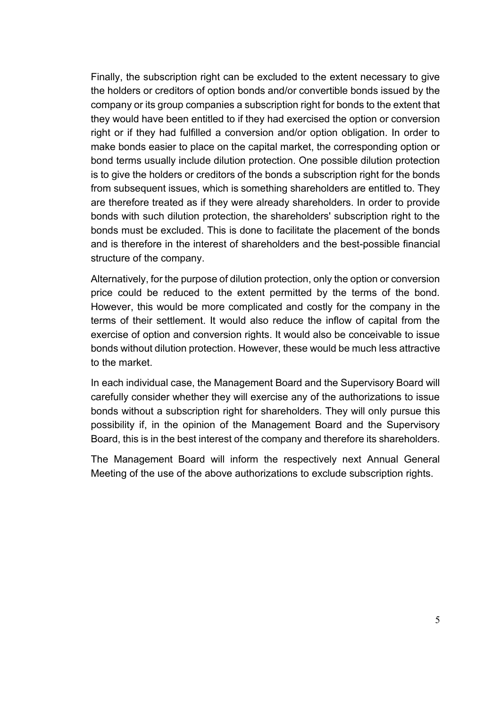Finally, the subscription right can be excluded to the extent necessary to give the holders or creditors of option bonds and/or convertible bonds issued by the company or its group companies a subscription right for bonds to the extent that they would have been entitled to if they had exercised the option or conversion right or if they had fulfilled a conversion and/or option obligation. In order to make bonds easier to place on the capital market, the corresponding option or bond terms usually include dilution protection. One possible dilution protection is to give the holders or creditors of the bonds a subscription right for the bonds from subsequent issues, which is something shareholders are entitled to. They are therefore treated as if they were already shareholders. In order to provide bonds with such dilution protection, the shareholders' subscription right to the bonds must be excluded. This is done to facilitate the placement of the bonds and is therefore in the interest of shareholders and the best-possible financial structure of the company.

Alternatively, for the purpose of dilution protection, only the option or conversion price could be reduced to the extent permitted by the terms of the bond. However, this would be more complicated and costly for the company in the terms of their settlement. It would also reduce the inflow of capital from the exercise of option and conversion rights. It would also be conceivable to issue bonds without dilution protection. However, these would be much less attractive to the market.

In each individual case, the Management Board and the Supervisory Board will carefully consider whether they will exercise any of the authorizations to issue bonds without a subscription right for shareholders. They will only pursue this possibility if, in the opinion of the Management Board and the Supervisory Board, this is in the best interest of the company and therefore its shareholders.

The Management Board will inform the respectively next Annual General Meeting of the use of the above authorizations to exclude subscription rights.